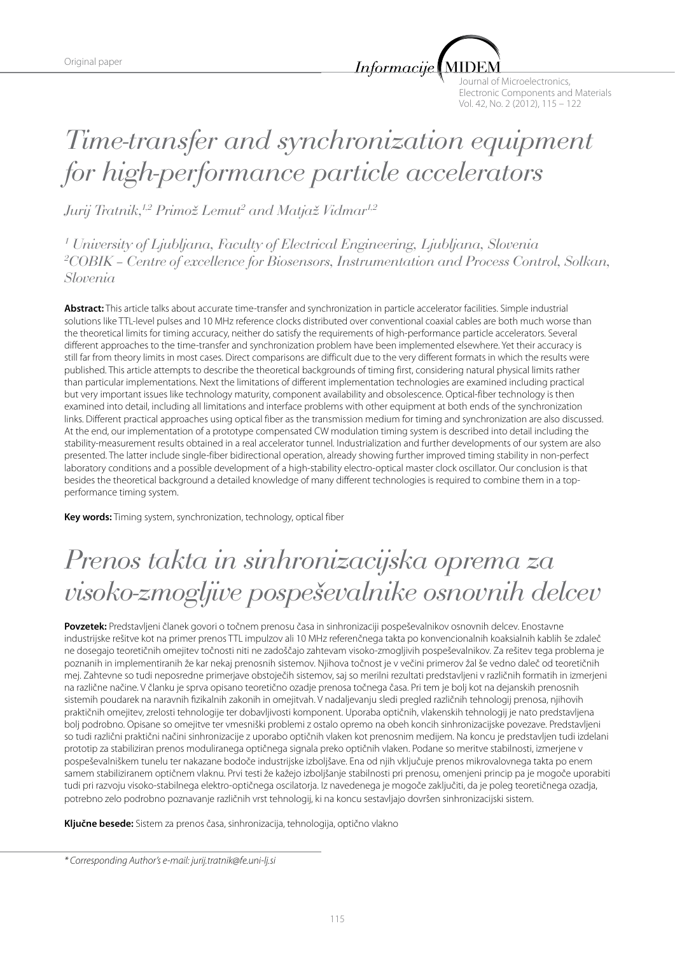*Informacije* 

Journal of Microelectronics, Electronic Components and Materials Vol. 42, No. 2 (2012), 115 – 122

# *Time-transfer and synchronization equipment for high-performance particle accelerators*

*Jurij Tratnik,1,2 Primož Lemut2 and Matjaž Vidmar1,2*

*1 University of Ljubljana, Faculty of Electrical Engineering, Ljubljana, Slovenia 2 COBIK – Centre of excellence for Biosensors, Instrumentation and Process Control, Solkan, Slovenia*

**Abstract:** This article talks about accurate time-transfer and synchronization in particle accelerator facilities. Simple industrial solutions like TTL-level pulses and 10 MHz reference clocks distributed over conventional coaxial cables are both much worse than the theoretical limits for timing accuracy, neither do satisfy the requirements of high-performance particle accelerators. Several different approaches to the time-transfer and synchronization problem have been implemented elsewhere. Yet their accuracy is still far from theory limits in most cases. Direct comparisons are difficult due to the very different formats in which the results were published. This article attempts to describe the theoretical backgrounds of timing first, considering natural physical limits rather than particular implementations. Next the limitations of different implementation technologies are examined including practical but very important issues like technology maturity, component availability and obsolescence. Optical-fiber technology is then examined into detail, including all limitations and interface problems with other equipment at both ends of the synchronization links. Different practical approaches using optical fiber as the transmission medium for timing and synchronization are also discussed. At the end, our implementation of a prototype compensated CW modulation timing system is described into detail including the stability-measurement results obtained in a real accelerator tunnel. Industrialization and further developments of our system are also presented. The latter include single-fiber bidirectional operation, already showing further improved timing stability in non-perfect laboratory conditions and a possible development of a high-stability electro-optical master clock oscillator. Our conclusion is that besides the theoretical background a detailed knowledge of many different technologies is required to combine them in a topperformance timing system.

**Key words:** Timing system, synchronization, technology, optical fiber

# *Prenos takta in sinhronizacijska oprema za visoko-zmogljive pospeševalnike osnovnih delcev*

**Povzetek:** Predstavljeni članek govori o točnem prenosu časa in sinhronizaciji pospeševalnikov osnovnih delcev. Enostavne industrijske rešitve kot na primer prenos TTL impulzov ali 10 MHz referenčnega takta po konvencionalnih koaksialnih kablih še zdaleč ne dosegajo teoretičnih omejitev točnosti niti ne zadoščajo zahtevam visoko-zmogljivih pospeševalnikov. Za rešitev tega problema je poznanih in implementiranih že kar nekaj prenosnih sistemov. Njihova točnost je v večini primerov žal še vedno daleč od teoretičnih mej. Zahtevne so tudi neposredne primerjave obstoječih sistemov, saj so merilni rezultati predstavljeni v različnih formatih in izmerjeni na različne načine. V članku je sprva opisano teoretično ozadje prenosa točnega časa. Pri tem je bolj kot na dejanskih prenosnih sistemih poudarek na naravnih fizikalnih zakonih in omejitvah. V nadaljevanju sledi pregled različnih tehnologij prenosa, njihovih praktičnih omejitev, zrelosti tehnologije ter dobavljivosti komponent. Uporaba optičnih, vlakenskih tehnologij je nato predstavljena bolj podrobno. Opisane so omejitve ter vmesniški problemi z ostalo opremo na obeh koncih sinhronizacijske povezave. Predstavljeni so tudi različni praktični načini sinhronizacije z uporabo optičnih vlaken kot prenosnim medijem. Na koncu je predstavljen tudi izdelani prototip za stabiliziran prenos moduliranega optičnega signala preko optičnih vlaken. Podane so meritve stabilnosti, izmerjene v pospeševalniškem tunelu ter nakazane bodoče industrijske izboljšave. Ena od njih vključuje prenos mikrovalovnega takta po enem samem stabiliziranem optičnem vlaknu. Prvi testi že kažejo izboljšanje stabilnosti pri prenosu, omenjeni princip pa je mogoče uporabiti tudi pri razvoju visoko-stabilnega elektro-optičnega oscilatorja. Iz navedenega je mogoče zaključiti, da je poleg teoretičnega ozadja, potrebno zelo podrobno poznavanje različnih vrst tehnologij, ki na koncu sestavljajo dovršen sinhronizacijski sistem.

**Ključne besede:** Sistem za prenos časa, sinhronizacija, tehnologija, optično vlakno

*\* Corresponding Author's e-mail: jurij.tratnik@fe.uni-lj.si*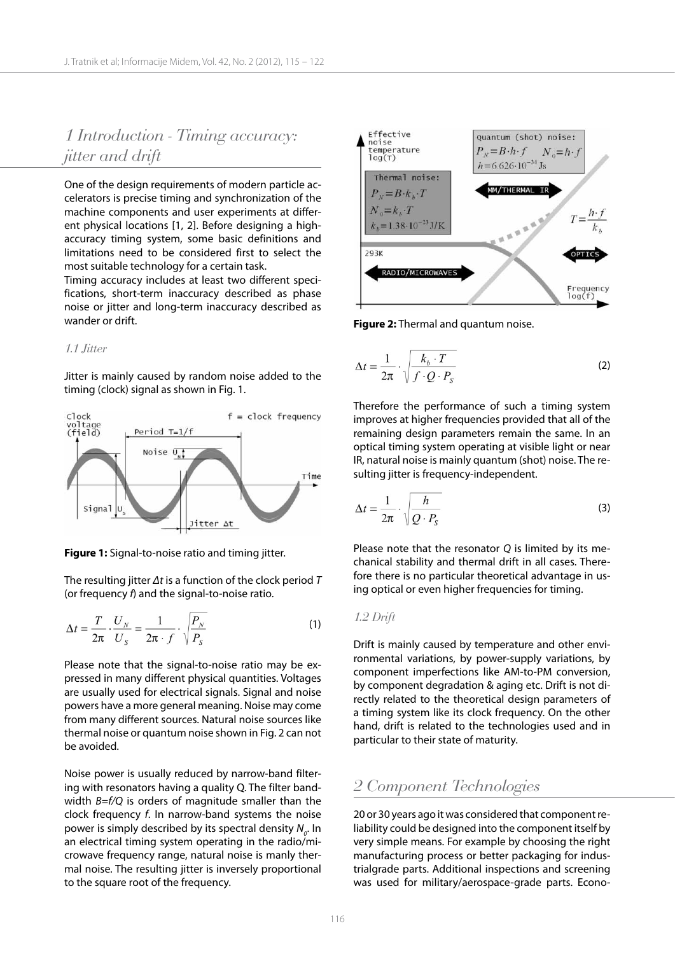# *1 Introduction - Timing accuracy: jitter and drift*

One of the design requirements of modern particle accelerators is precise timing and synchronization of the machine components and user experiments at different physical locations [1, 2]. Before designing a highaccuracy timing system, some basic definitions and limitations need to be considered first to select the most suitable technology for a certain task.

Timing accuracy includes at least two different specifications, short-term inaccuracy described as phase noise or jitter and long-term inaccuracy described as wander or drift.

#### *1.1 Jitter*

Jitter is mainly caused by random noise added to the timing (clock) signal as shown in Fig. 1.



**Figure 1:** Signal-to-noise ratio and timing jitter.

The resulting jitter *Δt* is a function of the clock period *T* (or frequency *f*) and the signal-to-noise ratio.

$$
\Delta t = \frac{T}{2\pi} \cdot \frac{U_N}{U_S} = \frac{1}{2\pi \cdot f} \cdot \sqrt{\frac{P_N}{P_S}}
$$
(1)

Please note that the signal-to-noise ratio may be expressed in many different physical quantities. Voltages are usually used for electrical signals. Signal and noise powers have a more general meaning. Noise may come from many different sources. Natural noise sources like thermal noise or quantum noise shown in Fig. 2 can not be avoided.

Noise power is usually reduced by narrow-band filtering with resonators having a quality Q. The filter bandwidth *B=f/Q* is orders of magnitude smaller than the clock frequency *f*. In narrow-band systems the noise power is simply described by its spectral density  $N^{}_{o}$ . In an electrical timing system operating in the radio/microwave frequency range, natural noise is manly thermal noise. The resulting jitter is inversely proportional to the square root of the frequency.



**Figure 2:** Thermal and quantum noise.

$$
\Delta t = \frac{1}{2\pi} \cdot \sqrt{\frac{k_b \cdot T}{f \cdot Q \cdot P_S}}
$$
 (2)

Therefore the performance of such a timing system improves at higher frequencies provided that all of the remaining design parameters remain the same. In an optical timing system operating at visible light or near IR, natural noise is mainly quantum (shot) noise. The resulting jitter is frequency-independent.

$$
\Delta t = \frac{1}{2\pi} \cdot \sqrt{\frac{h}{Q \cdot P_{\rm s}}} \tag{3}
$$

Please note that the resonator *Q* is limited by its mechanical stability and thermal drift in all cases. Therefore there is no particular theoretical advantage in using optical or even higher frequencies for timing.

#### *1.2 Drift*

Drift is mainly caused by temperature and other environmental variations, by power-supply variations, by component imperfections like AM-to-PM conversion, by component degradation & aging etc. Drift is not directly related to the theoretical design parameters of a timing system like its clock frequency. On the other hand, drift is related to the technologies used and in particular to their state of maturity.

### *2 Component Technologies*

20 or 30 years ago it was considered that component reliability could be designed into the component itself by very simple means. For example by choosing the right manufacturing process or better packaging for industrialgrade parts. Additional inspections and screening was used for military/aerospace-grade parts. Econo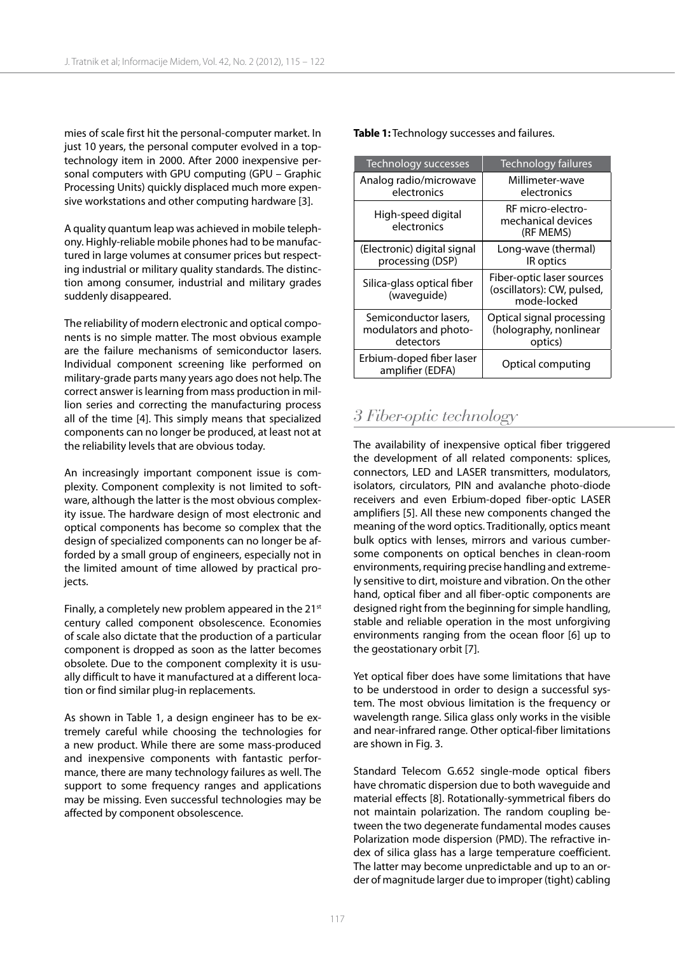mies of scale first hit the personal-computer market. In just 10 years, the personal computer evolved in a toptechnology item in 2000. After 2000 inexpensive personal computers with GPU computing (GPU – Graphic Processing Units) quickly displaced much more expensive workstations and other computing hardware [3].

A quality quantum leap was achieved in mobile telephony. Highly-reliable mobile phones had to be manufactured in large volumes at consumer prices but respecting industrial or military quality standards. The distinction among consumer, industrial and military grades suddenly disappeared.

The reliability of modern electronic and optical components is no simple matter. The most obvious example are the failure mechanisms of semiconductor lasers. Individual component screening like performed on military-grade parts many years ago does not help. The correct answer is learning from mass production in million series and correcting the manufacturing process all of the time [4]. This simply means that specialized components can no longer be produced, at least not at the reliability levels that are obvious today.

An increasingly important component issue is complexity. Component complexity is not limited to software, although the latter is the most obvious complexity issue. The hardware design of most electronic and optical components has become so complex that the design of specialized components can no longer be afforded by a small group of engineers, especially not in the limited amount of time allowed by practical projects.

Finally, a completely new problem appeared in the 21<sup>st</sup> century called component obsolescence. Economies of scale also dictate that the production of a particular component is dropped as soon as the latter becomes obsolete. Due to the component complexity it is usually difficult to have it manufactured at a different location or find similar plug-in replacements.

As shown in Table 1, a design engineer has to be extremely careful while choosing the technologies for a new product. While there are some mass-produced and inexpensive components with fantastic performance, there are many technology failures as well. The support to some frequency ranges and applications may be missing. Even successful technologies may be affected by component obsolescence.

**Table 1:** Technology successes and failures.

| Technology successes                                        | Technology failures                                                    |
|-------------------------------------------------------------|------------------------------------------------------------------------|
| Analog radio/microwave<br>electronics                       | Millimeter-wave<br>electronics                                         |
| High-speed digital<br>electronics                           | RF micro-electro-<br>mechanical devices<br>(RF MEMS)                   |
| (Electronic) digital signal<br>processing (DSP)             | Long-wave (thermal)<br>IR optics                                       |
| Silica-glass optical fiber<br>(waveguide)                   | Fiber-optic laser sources<br>(oscillators): CW, pulsed,<br>mode-locked |
| Semiconductor lasers,<br>modulators and photo-<br>detectors | Optical signal processing<br>(holography, nonlinear<br>optics)         |
| Erbium-doped fiber laser<br>amplifier (EDFA)                | Optical computing                                                      |

## *3 Fiber-optic technology*

The availability of inexpensive optical fiber triggered the development of all related components: splices, connectors, LED and LASER transmitters, modulators, isolators, circulators, PIN and avalanche photo-diode receivers and even Erbium-doped fiber-optic LASER amplifiers [5]. All these new components changed the meaning of the word optics. Traditionally, optics meant bulk optics with lenses, mirrors and various cumbersome components on optical benches in clean-room environments, requiring precise handling and extremely sensitive to dirt, moisture and vibration. On the other hand, optical fiber and all fiber-optic components are designed right from the beginning for simple handling, stable and reliable operation in the most unforgiving environments ranging from the ocean floor [6] up to the geostationary orbit [7].

Yet optical fiber does have some limitations that have to be understood in order to design a successful system. The most obvious limitation is the frequency or wavelength range. Silica glass only works in the visible and near-infrared range. Other optical-fiber limitations are shown in Fig. 3.

Standard Telecom G.652 single-mode optical fibers have chromatic dispersion due to both waveguide and material effects [8]. Rotationally-symmetrical fibers do not maintain polarization. The random coupling between the two degenerate fundamental modes causes Polarization mode dispersion (PMD). The refractive index of silica glass has a large temperature coefficient. The latter may become unpredictable and up to an order of magnitude larger due to improper (tight) cabling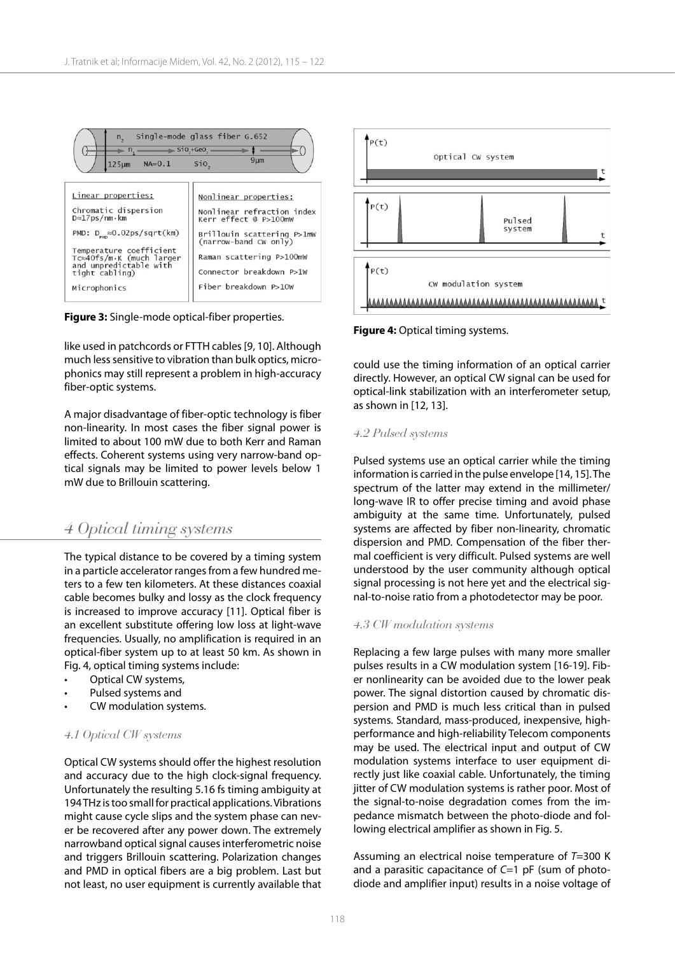



like used in patchcords or FTTH cables [9, 10]. Although much less sensitive to vibration than bulk optics, microphonics may still represent a problem in high-accuracy fiber-optic systems.

A major disadvantage of fiber-optic technology is fiber non-linearity. In most cases the fiber signal power is limited to about 100 mW due to both Kerr and Raman effects. Coherent systems using very narrow-band optical signals may be limited to power levels below 1 mW due to Brillouin scattering.

## *4 Optical timing systems*

The typical distance to be covered by a timing system in a particle accelerator ranges from a few hundred meters to a few ten kilometers. At these distances coaxial cable becomes bulky and lossy as the clock frequency is increased to improve accuracy [11]. Optical fiber is an excellent substitute offering low loss at light-wave frequencies. Usually, no amplification is required in an optical-fiber system up to at least 50 km. As shown in Fig. 4, optical timing systems include:

- Optical CW systems,
- Pulsed systems and
- CW modulation systems.

#### *4.1 Optical CW systems*

Optical CW systems should offer the highest resolution and accuracy due to the high clock-signal frequency. Unfortunately the resulting 5.16 fs timing ambiguity at 194 THz is too small for practical applications. Vibrations might cause cycle slips and the system phase can never be recovered after any power down. The extremely narrowband optical signal causes interferometric noise and triggers Brillouin scattering. Polarization changes and PMD in optical fibers are a big problem. Last but not least, no user equipment is currently available that



**Figure 4:** Optical timing systems.

could use the timing information of an optical carrier directly. However, an optical CW signal can be used for optical-link stabilization with an interferometer setup, as shown in [12, 13].

#### *4.2 Pulsed systems*

Pulsed systems use an optical carrier while the timing information is carried in the pulse envelope [14, 15]. The spectrum of the latter may extend in the millimeter/ long-wave IR to offer precise timing and avoid phase ambiguity at the same time. Unfortunately, pulsed systems are affected by fiber non-linearity, chromatic dispersion and PMD. Compensation of the fiber thermal coefficient is very difficult. Pulsed systems are well understood by the user community although optical signal processing is not here yet and the electrical signal-to-noise ratio from a photodetector may be poor.

#### *4.3 CW modulation systems*

Replacing a few large pulses with many more smaller pulses results in a CW modulation system [16-19]. Fiber nonlinearity can be avoided due to the lower peak power. The signal distortion caused by chromatic dispersion and PMD is much less critical than in pulsed systems. Standard, mass-produced, inexpensive, highperformance and high-reliability Telecom components may be used. The electrical input and output of CW modulation systems interface to user equipment directly just like coaxial cable. Unfortunately, the timing jitter of CW modulation systems is rather poor. Most of the signal-to-noise degradation comes from the impedance mismatch between the photo-diode and following electrical amplifier as shown in Fig. 5.

Assuming an electrical noise temperature of *T*=300 K and a parasitic capacitance of *C*=1 pF (sum of photodiode and amplifier input) results in a noise voltage of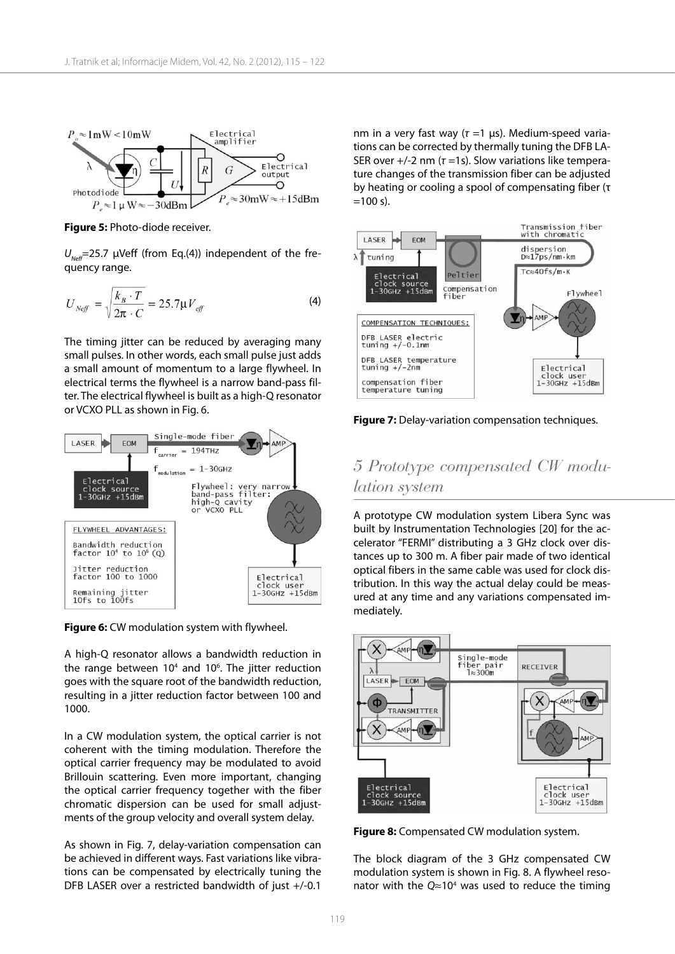

**Figure 5:** Photo-diode receiver.

 $U_{\text{Neff}}$ =25.7 μVeff (from Eq.(4)) independent of the frequency range.

$$
U_{N\in\mathcal{J}} = \sqrt{\frac{k_B \cdot T}{2\pi \cdot C}} = 25.7 \mu V_{\text{eff}} \tag{4}
$$

The timing jitter can be reduced by averaging many small pulses. In other words, each small pulse just adds a small amount of momentum to a large flywheel. In electrical terms the flywheel is a narrow band-pass filter. The electrical flywheel is built as a high-Q resonator or VCXO PLL as shown in Fig. 6.



**Figure 6:** CW modulation system with flywheel.

A high-Q resonator allows a bandwidth reduction in the range between 10<sup>4</sup> and 10<sup>6</sup>. The jitter reduction goes with the square root of the bandwidth reduction, resulting in a jitter reduction factor between 100 and 1000.

In a CW modulation system, the optical carrier is not coherent with the timing modulation. Therefore the optical carrier frequency may be modulated to avoid Brillouin scattering. Even more important, changing the optical carrier frequency together with the fiber chromatic dispersion can be used for small adjustments of the group velocity and overall system delay.

As shown in Fig. 7, delay-variation compensation can be achieved in different ways. Fast variations like vibrations can be compensated by electrically tuning the DFB LASER over a restricted bandwidth of just +/-0.1

nm in a very fast way (*τ* =1 μs). Medium-speed variations can be corrected by thermally tuning the DFB LA-SER over  $+/-2$  nm ( $\tau$  =1s). Slow variations like temperature changes of the transmission fiber can be adjusted by heating or cooling a spool of compensating fiber (τ  $=100 s$ .



**Figure 7:** Delay-variation compensation techniques.

# *5 Prototype compensated CW modulation system*

A prototype CW modulation system Libera Sync was built by Instrumentation Technologies [20] for the accelerator "FERMI" distributing a 3 GHz clock over distances up to 300 m. A fiber pair made of two identical optical fibers in the same cable was used for clock distribution. In this way the actual delay could be measured at any time and any variations compensated immediately.



**Figure 8:** Compensated CW modulation system.

The block diagram of the 3 GHz compensated CW modulation system is shown in Fig. 8. A flywheel resonator with the  $Q \approx 10^4$  was used to reduce the timing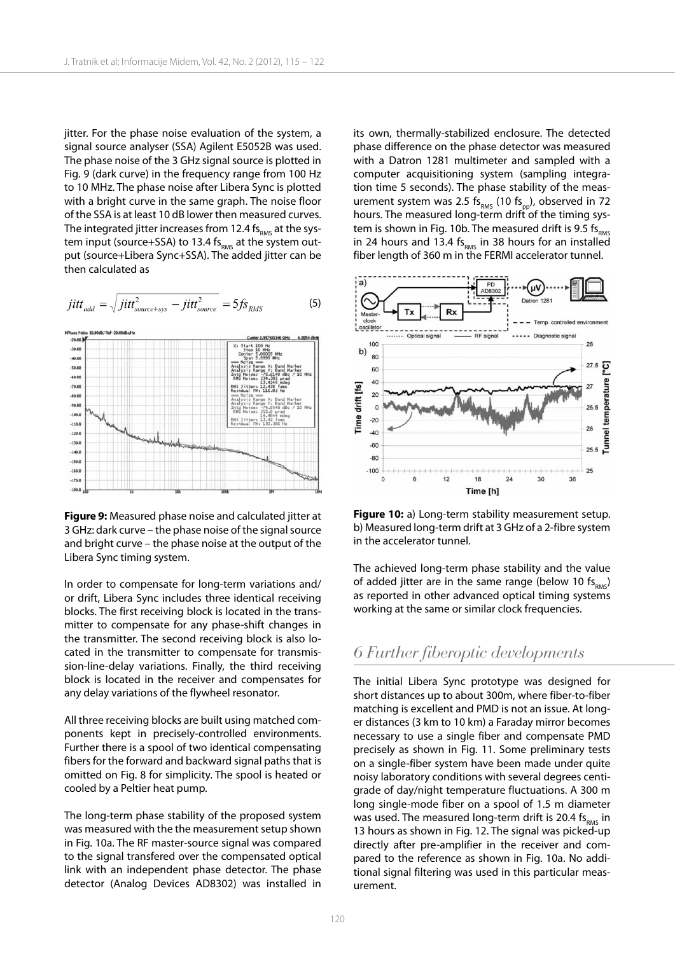jitter. For the phase noise evaluation of the system, a signal source analyser (SSA) Agilent E5052B was used. The phase noise of the 3 GHz signal source is plotted in Fig. 9 (dark curve) in the frequency range from 100 Hz to 10 MHz. The phase noise after Libera Sync is plotted with a bright curve in the same graph. The noise floor of the SSA is at least 10 dB lower then measured curves. The integrated jitter increases from 12.4  $fs<sub>RMS</sub>$  at the system input (source+SSA) to 13.4  $fs<sub>RMS</sub>$  at the system output (source+Libera Sync+SSA). The added jitter can be then calculated as

$$
jitt_{add} = \sqrt{jitt_{source+sys}^2 - jitt_{source}^2} = 5fs_{RMS}
$$
 (5)



**Figure 9:** Measured phase noise and calculated jitter at 3 GHz: dark curve – the phase noise of the signal source and bright curve – the phase noise at the output of the Libera Sync timing system.

In order to compensate for long-term variations and/ or drift, Libera Sync includes three identical receiving blocks. The first receiving block is located in the transmitter to compensate for any phase-shift changes in the transmitter. The second receiving block is also located in the transmitter to compensate for transmission-line-delay variations. Finally, the third receiving block is located in the receiver and compensates for any delay variations of the flywheel resonator.

All three receiving blocks are built using matched components kept in precisely-controlled environments. Further there is a spool of two identical compensating fibers for the forward and backward signal paths that is omitted on Fig. 8 for simplicity. The spool is heated or cooled by a Peltier heat pump.

The long-term phase stability of the proposed system was measured with the the measurement setup shown in Fig. 10a. The RF master-source signal was compared to the signal transfered over the compensated optical link with an independent phase detector. The phase detector (Analog Devices AD8302) was installed in its own, thermally-stabilized enclosure. The detected phase difference on the phase detector was measured with a Datron 1281 multimeter and sampled with a computer acquisitioning system (sampling integration time 5 seconds). The phase stability of the measurement system was 2.5 fs $_{RMS}$  (10 fs<sub>pp</sub>), observed in 72 hours. The measured long-term drift of the timing system is shown in Fig. 10b. The measured drift is 9.5  $fs<sub>RMS</sub>$ in 24 hours and 13.4 fs<sub>RMS</sub> in 38 hours for an installed fiber length of 360 m in the FERMI accelerator tunnel.



**Figure 10:** a) Long-term stability measurement setup. b) Measured long-term drift at 3 GHz of a 2-fibre system in the accelerator tunnel.

The achieved long-term phase stability and the value of added jitter are in the same range (below 10  $fs<sub>RMS</sub>$ ) as reported in other advanced optical timing systems working at the same or similar clock frequencies.

### *6 Further fiberoptic developments*

The initial Libera Sync prototype was designed for short distances up to about 300m, where fiber-to-fiber matching is excellent and PMD is not an issue. At longer distances (3 km to 10 km) a Faraday mirror becomes necessary to use a single fiber and compensate PMD precisely as shown in Fig. 11. Some preliminary tests on a single-fiber system have been made under quite noisy laboratory conditions with several degrees centigrade of day/night temperature fluctuations. A 300 m long single-mode fiber on a spool of 1.5 m diameter was used. The measured long-term drift is 20.4 fs<sub>pMS</sub> in 13 hours as shown in Fig. 12. The signal was picked-up directly after pre-amplifier in the receiver and compared to the reference as shown in Fig. 10a. No additional signal filtering was used in this particular measurement.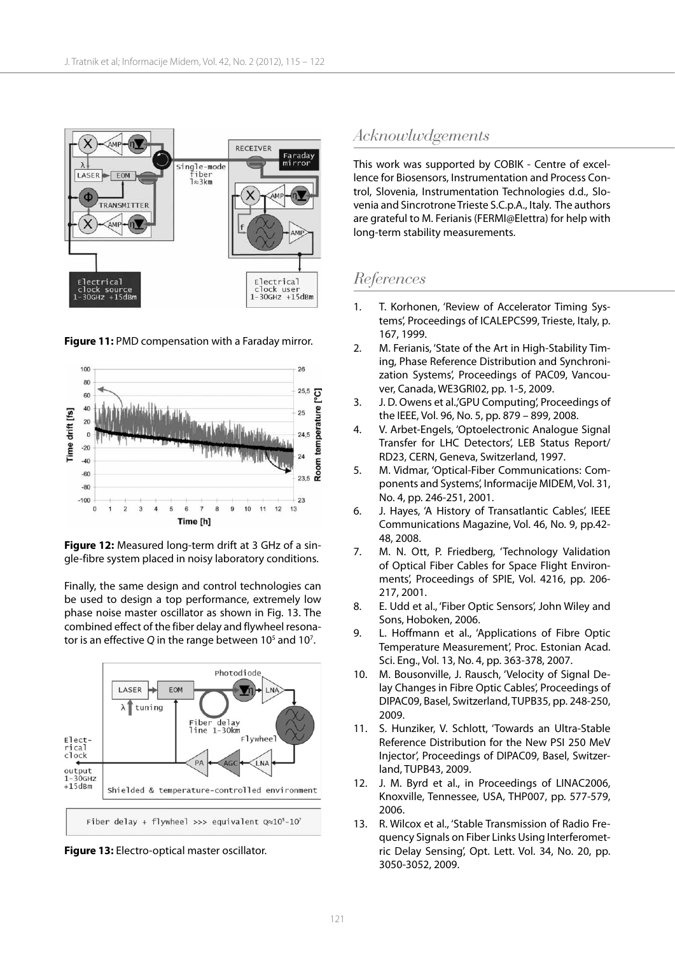

**Figure 11:** PMD compensation with a Faraday mirror.



**Figure 12:** Measured long-term drift at 3 GHz of a single-fibre system placed in noisy laboratory conditions.

Finally, the same design and control technologies can be used to design a top performance, extremely low phase noise master oscillator as shown in Fig. 13. The combined effect of the fiber delay and flywheel resonator is an effective Q in the range between 10<sup>5</sup> and 10<sup>7</sup>.



**Figure 13:** Electro-optical master oscillator.

## *Acknowlwdgements*

This work was supported by COBIK - Centre of excellence for Biosensors, Instrumentation and Process Control, Slovenia, Instrumentation Technologies d.d., Slovenia and Sincrotrone Trieste S.C.p.A., Italy. The authors are grateful to M. Ferianis (FERMI@Elettra) for help with long-term stability measurements.

## *References*

- 1. T. Korhonen, 'Review of Accelerator Timing Systems', Proceedings of ICALEPCS99, Trieste, Italy, p. 167, 1999.
- 2. M. Ferianis, 'State of the Art in High-Stability Timing, Phase Reference Distribution and Synchronization Systems', Proceedings of PAC09, Vancouver, Canada, WE3GRI02, pp. 1-5, 2009.
- 3. J. D. Owens et al.,'GPU Computing', Proceedings of the IEEE, Vol. 96, No. 5, pp. 879 – 899, 2008.
- 4. V. Arbet-Engels, 'Optoelectronic Analogue Signal Transfer for LHC Detectors', LEB Status Report/ RD23, CERN, Geneva, Switzerland, 1997.
- 5. M. Vidmar, 'Optical-Fiber Communications: Components and Systems', Informacije MIDEM, Vol. 31, No. 4, pp. 246-251, 2001.
- 6. J. Hayes, 'A History of Transatlantic Cables', IEEE Communications Magazine, Vol. 46, No. 9, pp.42- 48, 2008.
- 7. M. N. Ott, P. Friedberg, 'Technology Validation of Optical Fiber Cables for Space Flight Environments', Proceedings of SPIE, Vol. 4216, pp. 206- 217, 2001.
- 8. E. Udd et al., 'Fiber Optic Sensors', John Wiley and Sons, Hoboken, 2006.
- 9. L. Hoffmann et al., 'Applications of Fibre Optic Temperature Measurement', Proc. Estonian Acad. Sci. Eng., Vol. 13, No. 4, pp. 363-378, 2007.
- 10. M. Bousonville, J. Rausch, 'Velocity of Signal Delay Changes in Fibre Optic Cables', Proceedings of DIPAC09, Basel, Switzerland, TUPB35, pp. 248-250, 2009.
- 11. S. Hunziker, V. Schlott, 'Towards an Ultra-Stable Reference Distribution for the New PSI 250 MeV Injector', Proceedings of DIPAC09, Basel, Switzerland, TUPB43, 2009.
- 12. J. M. Byrd et al., in Proceedings of LINAC2006, Knoxville, Tennessee, USA, THP007, pp. 577-579, 2006.
- 13. R. Wilcox et al., 'Stable Transmission of Radio Frequency Signals on Fiber Links Using Interferometric Delay Sensing', Opt. Lett. Vol. 34, No. 20, pp. 3050-3052, 2009.